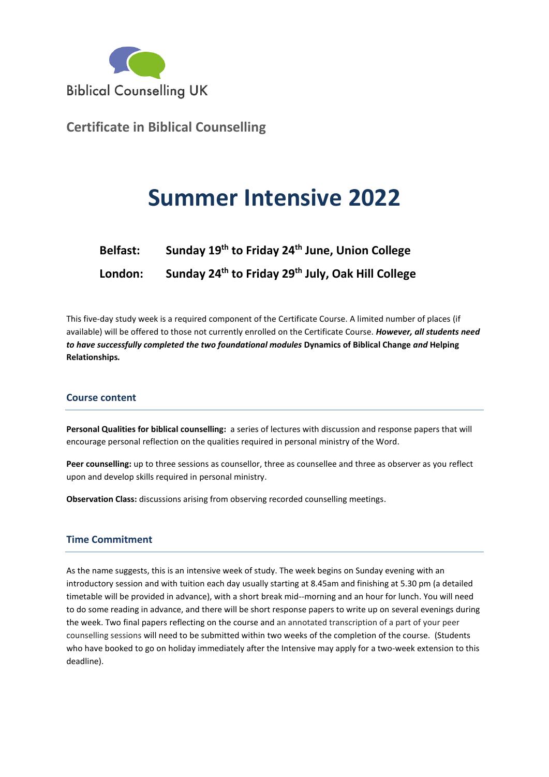

**Certificate in Biblical Counselling**

# **Summer Intensive 2022**

| <b>Belfast:</b> | Sunday 19 <sup>th</sup> to Friday 24 <sup>th</sup> June, Union College    |
|-----------------|---------------------------------------------------------------------------|
| London:         | Sunday 24 <sup>th</sup> to Friday 29 <sup>th</sup> July, Oak Hill College |

This five-day study week is a required component of the Certificate Course. A limited number of places (if available) will be offered to those not currently enrolled on the Certificate Course. *However, all students need to have successfully completed the two foundational modules* **Dynamics of Biblical Change** *and* **Helping Relationships***.* 

## **Course content**

**Personal Qualities for biblical counselling:** a series of lectures with discussion and response papers that will encourage personal reflection on the qualities required in personal ministry of the Word.

**Peer counselling:** up to three sessions as counsellor, three as counsellee and three as observer as you reflect upon and develop skills required in personal ministry.

**Observation Class:** discussions arising from observing recorded counselling meetings.

## **Time Commitment**

As the name suggests, this is an intensive week of study. The week begins on Sunday evening with an introductory session and with tuition each day usually starting at 8.45am and finishing at 5.30 pm (a detailed timetable will be provided in advance), with a short break mid--morning and an hour for lunch. You will need to do some reading in advance, and there will be short response papers to write up on several evenings during the week. Two final papers reflecting on the course and an annotated transcription of a part of your peer counselling sessions will need to be submitted within two weeks of the completion of the course. (Students who have booked to go on holiday immediately after the Intensive may apply for a two-week extension to this deadline).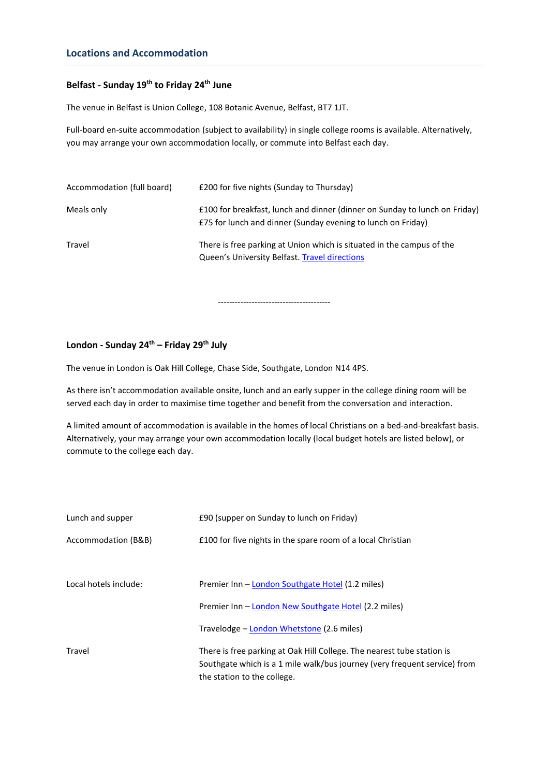## **Locations and Accommodation**

## **Belfast - Sunday 19th to Friday 24 th June**

The venue in Belfast is Union College, 108 Botanic Avenue, Belfast, BT7 1JT.

Full-board en-suite accommodation (subject to availability) in single college rooms is available. Alternatively, you may arrange your own accommodation locally, or commute into Belfast each day.

| Accommodation (full board) | <b>£200 for five nights (Sunday to Thursday)</b>                                                                                           |
|----------------------------|--------------------------------------------------------------------------------------------------------------------------------------------|
| Meals only                 | £100 for breakfast, lunch and dinner (dinner on Sunday to lunch on Friday)<br>E75 for lunch and dinner (Sunday evening to lunch on Friday) |
| Travel                     | There is free parking at Union which is situated in the campus of the<br>Queen's University Belfast. Travel directions                     |

----------------------------------------

#### **London - Sunday 24 th – Friday 29th July**

The venue in London is Oak Hill College, Chase Side, Southgate, London N14 4PS.

As there isn't accommodation available onsite, lunch and an early supper in the college dining room will be served each day in order to maximise time together and benefit from the conversation and interaction.

A limited amount of accommodation is available in the homes of local Christians on a bed-and-breakfast basis. Alternatively, your may arrange your own accommodation locally (local budget hotels are listed below), or commute to the college each day.

| Lunch and supper      | £90 (supper on Sunday to lunch on Friday)                                                                                                                                          |
|-----------------------|------------------------------------------------------------------------------------------------------------------------------------------------------------------------------------|
| Accommodation (B&B)   | £100 for five nights in the spare room of a local Christian                                                                                                                        |
|                       |                                                                                                                                                                                    |
| Local hotels include: | Premier Inn - London Southgate Hotel (1.2 miles)                                                                                                                                   |
|                       | Premier Inn - London New Southgate Hotel (2.2 miles)                                                                                                                               |
|                       | Travelodge – London Whetstone (2.6 miles)                                                                                                                                          |
| Travel                | There is free parking at Oak Hill College. The nearest tube station is<br>Southgate which is a 1 mile walk/bus journey (very frequent service) from<br>the station to the college. |